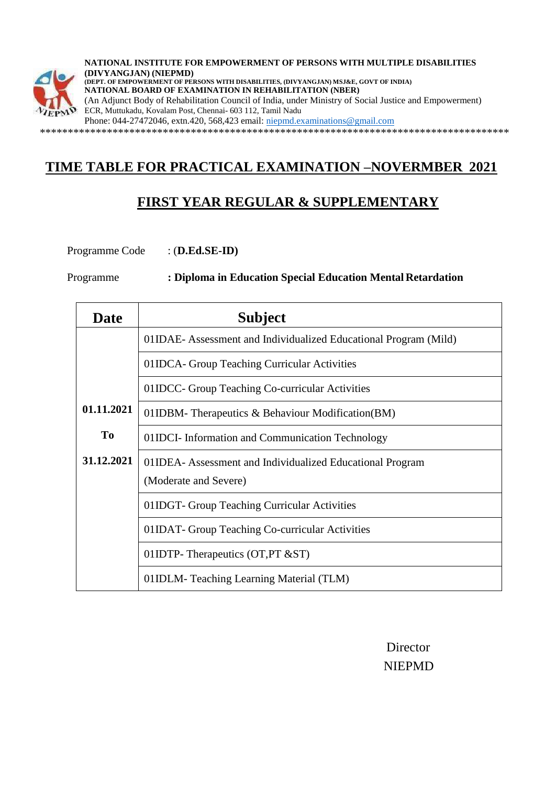

**NATIONAL INSTITUTE FOR EMPOWERMENT OF PERSONS WITH MULTIPLE DISABILITIES (DIVYANGJAN) (NIEPMD) (DEPT. OF EMPOWERMENT OF PERSONS WITH DISABILITIES, (DIVYANGJAN) MSJ&E, GOVT OF INDIA) NATIONAL BOARD OF EXAMINATION IN REHABILITATION (NBER)** (An Adjunct Body of Rehabilitation Council of India, under Ministry of Social Justice and Empowerment) ECR, Muttukadu, Kovalam Post, Chennai- 603 112, Tamil Nadu Phone: 044-27472046, extn.420, 568,423 email: [niepmd.examinations@gmail.com](mailto:niepmd.examinations@gmail.com)

\*\*\*\*\*\*\*\*\*\*\*\*\*\*\*\*\*\*\*\*\*\*\*\*\*\*\*\*\*\*\*\*\*\*\*\*\*\*\*\*\*\*\*\*\*\*\*\*\*\*\*\*\*\*\*\*\*\*\*\*\*\*\*\*\*\*\*\*\*\*\*\*\*\*\*\*\*\*\*\*\*\*\*\*

## **TIME TABLE FOR PRACTICAL EXAMINATION –NOVERMBER 2021**

## **FIRST YEAR REGULAR & SUPPLEMENTARY**

Programme Code : (**D.Ed.SE-ID)**

Programme **: Diploma in Education Special Education Mental Retardation**

| Date       | <b>Subject</b>                                                   |
|------------|------------------------------------------------------------------|
|            | 01IDAE- Assessment and Individualized Educational Program (Mild) |
|            | 01IDCA- Group Teaching Curricular Activities                     |
|            | 01IDCC- Group Teaching Co-curricular Activities                  |
| 01.11.2021 | 01IDBM-Therapeutics & Behaviour Modification(BM)                 |
| <b>To</b>  | 01IDCI- Information and Communication Technology                 |
| 31.12.2021 | 01IDEA- Assessment and Individualized Educational Program        |
|            | (Moderate and Severe)                                            |
|            | 01IDGT- Group Teaching Curricular Activities                     |
|            | 01IDAT - Group Teaching Co-curricular Activities                 |
|            | 01IDTP-Therapeutics (OT, PT $&ST$ )                              |
|            | 01IDLM-Teaching Learning Material (TLM)                          |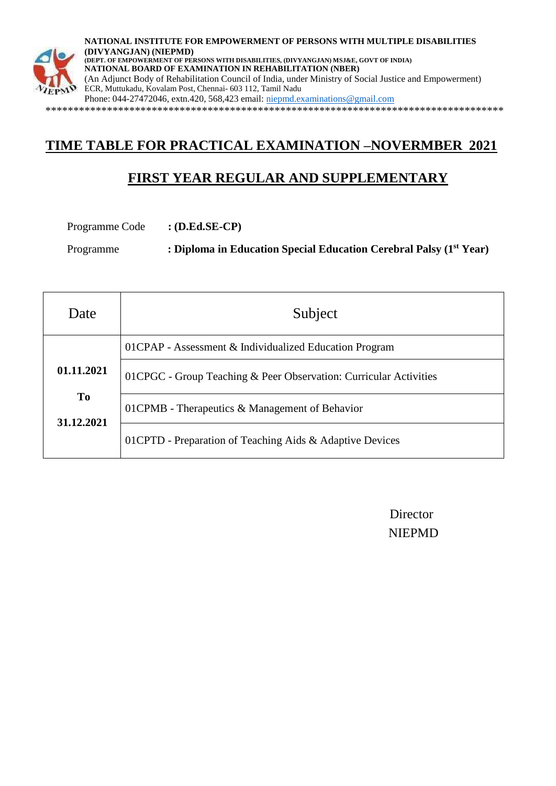

**NATIONAL INSTITUTE FOR EMPOWERMENT OF PERSONS WITH MULTIPLE DISABILITIES (DIVYANGJAN) (NIEPMD) (DEPT. OF EMPOWERMENT OF PERSONS WITH DISABILITIES, (DIVYANGJAN) MSJ&E, GOVT OF INDIA) NATIONAL BOARD OF EXAMINATION IN REHABILITATION (NBER)** (An Adjunct Body of Rehabilitation Council of India, under Ministry of Social Justice and Empowerment) ECR, Muttukadu, Kovalam Post, Chennai- 603 112, Tamil Nadu Phone: 044-27472046, extn.420, 568,423 email: [niepmd.examinations@gmail.com](mailto:niepmd.examinations@gmail.com) \*\*\*\*\*\*\*\*\*\*\*\*\*\*\*\*\*\*\*\*\*\*\*\*\*\*\*\*\*\*\*\*\*\*\*\*\*\*\*\*\*\*\*\*\*\*\*\*\*\*\*\*\*\*\*\*\*\*\*\*\*\*\*\*\*\*\*\*\*\*\*\*\*\*\*\*\*\*\*\*\*\*

# **TIME TABLE FOR PRACTICAL EXAMINATION –NOVERMBER 2021**

# **FIRST YEAR REGULAR AND SUPPLEMENTARY**

Programme Code **: (D.Ed.SE-CP)**

Programme **: Diploma in Education Special Education Cerebral Palsy (1st Year)**

| Date                         | Subject                                                            |
|------------------------------|--------------------------------------------------------------------|
|                              | 01CPAP - Assessment & Individualized Education Program             |
| 01.11.2021                   | 01 CPGC - Group Teaching & Peer Observation: Curricular Activities |
| T <sub>0</sub><br>31.12.2021 | 01CPMB - Therapeutics & Management of Behavior                     |
|                              | 01 CPTD - Preparation of Teaching Aids & Adaptive Devices          |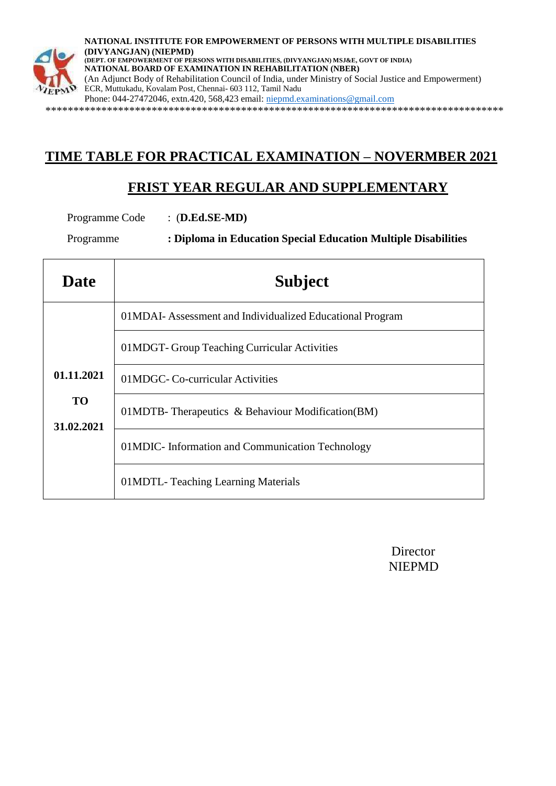

**NATIONAL INSTITUTE FOR EMPOWERMENT OF PERSONS WITH MULTIPLE DISABILITIES (DIVYANGJAN) (NIEPMD) (DEPT. OF EMPOWERMENT OF PERSONS WITH DISABILITIES, (DIVYANGJAN) MSJ&E, GOVT OF INDIA) NATIONAL BOARD OF EXAMINATION IN REHABILITATION (NBER)** (An Adjunct Body of Rehabilitation Council of India, under Ministry of Social Justice and Empowerment) ECR, Muttukadu, Kovalam Post, Chennai- 603 112, Tamil Nadu Phone: 044-27472046, extn.420, 568,423 email: [niepmd.examinations@gmail.com](mailto:niepmd.examinations@gmail.com)

\*\*\*\*\*\*\*\*\*\*\*\*\*\*\*\*\*\*\*\*\*\*\*\*\*\*\*\*\*\*\*\*\*\*\*\*\*\*\*\*\*\*\*\*\*\*\*\*\*\*\*\*\*\*\*\*\*\*\*\*\*\*\*\*\*\*\*\*\*\*\*\*\*\*\*\*\*\*\*\*\*\*

### **TIME TABLE FOR PRACTICAL EXAMINATION – NOVERMBER 2021**

#### **FRIST YEAR REGULAR AND SUPPLEMENTARY**

Programme Code : (**D.Ed.SE-MD)**

Programme **: Diploma in Education Special Education Multiple Disabilities**

| <b>Date</b>             | <b>Subject</b>                                           |
|-------------------------|----------------------------------------------------------|
|                         | 01MDAI-Assessment and Individualized Educational Program |
|                         | 01MDGT-Group Teaching Curricular Activities              |
| 01.11.2021              | 01MDGC-Co-curricular Activities                          |
| <b>TO</b><br>31.02.2021 | 01MDTB-Therapeutics & Behaviour Modification(BM)         |
|                         | 01MDIC- Information and Communication Technology         |
|                         | 01MDTL-Teaching Learning Materials                       |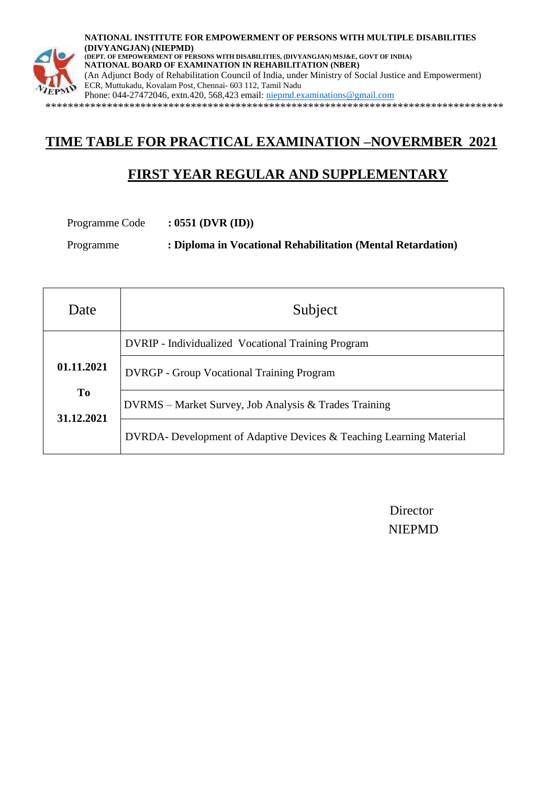

**NATIONAL INSTITUTE FOR EMPOWERMENT OF PERSONS WITH MULTIPLE DISABILITIES (DIVYANGJAN) (NIEPMD) (DEPT. OF EMPOWERMENT OF PERSONS WITH DISABILITIES, (DIVYANGJAN) MSJ&E, GOVT OF INDIA) NATIONAL BOARD OF EXAMINATION IN REHABILITATION (NBER)** (An Adjunct Body of Rehabilitation Council of India, under Ministry of Social Justice and Empowerment) ECR, Muttukadu, Kovalam Post, Chennai- 603 112, Tamil Nadu Phone: 044-27472046, extn.420, 568,423 email: [niepmd.examinations@gmail.com](mailto:niepmd.examinations@gmail.com) \*\*\*\*\*\*\*\*\*\*\*\*\*\*\*\*\*\*\*\*\*\*\*\*\*\*\*\*\*\*\*\*\*\*\*\*\*\*\*\*\*\*\*\*\*\*\*\*\*\*\*\*\*\*\*\*\*\*\*\*\*\*\*\*\*\*\*\*\*\*\*\*\*\*\*\*\*\*\*\*\*\*

# **TIME TABLE FOR PRACTICAL EXAMINATION –NOVERMBER 2021**

## **FIRST YEAR REGULAR AND SUPPLEMENTARY**

Programme Code **: 0551 (DVR (ID))**

Programme **: Diploma in Vocational Rehabilitation (Mental Retardation)**

| Date                    | Subject                                                             |
|-------------------------|---------------------------------------------------------------------|
|                         | <b>DVRIP</b> - Individualized Vocational Training Program           |
| 01.11.2021              | <b>DVRGP</b> - Group Vocational Training Program                    |
| <b>To</b><br>31.12.2021 | DVRMS – Market Survey, Job Analysis & Trades Training               |
|                         | DVRDA- Development of Adaptive Devices & Teaching Learning Material |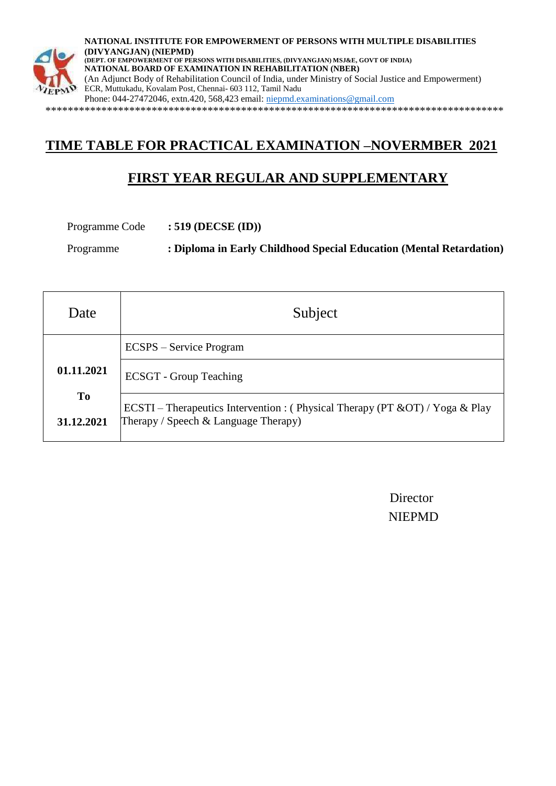

**NATIONAL INSTITUTE FOR EMPOWERMENT OF PERSONS WITH MULTIPLE DISABILITIES (DIVYANGJAN) (NIEPMD) (DEPT. OF EMPOWERMENT OF PERSONS WITH DISABILITIES, (DIVYANGJAN) MSJ&E, GOVT OF INDIA) NATIONAL BOARD OF EXAMINATION IN REHABILITATION (NBER)** (An Adjunct Body of Rehabilitation Council of India, under Ministry of Social Justice and Empowerment) ECR, Muttukadu, Kovalam Post, Chennai- 603 112, Tamil Nadu Phone: 044-27472046, extn.420, 568,423 email: [niepmd.examinations@gmail.com](mailto:niepmd.examinations@gmail.com) \*\*\*\*\*\*\*\*\*\*\*\*\*\*\*\*\*\*\*\*\*\*\*\*\*\*\*\*\*\*\*\*\*\*\*\*\*\*\*\*\*\*\*\*\*\*\*\*\*\*\*\*\*\*\*\*\*\*\*\*\*\*\*\*\*\*\*\*\*\*\*\*\*\*\*\*\*\*\*\*\*\*

# **TIME TABLE FOR PRACTICAL EXAMINATION –NOVERMBER 2021**

## **FIRST YEAR REGULAR AND SUPPLEMENTARY**

Programme Code **: 519 (DECSE (ID))**

Programme **: Diploma in Early Childhood Special Education (Mental Retardation)**

| Date             | Subject                                                                                                                      |
|------------------|------------------------------------------------------------------------------------------------------------------------------|
|                  | <b>ECSPS</b> – Service Program                                                                                               |
| 01.11.2021       | <b>ECSGT</b> - Group Teaching                                                                                                |
| To<br>31.12.2021 | ECSTI – Therapeutics Intervention : (Physical Therapy (PT $&O(T)$ / Yoga $&$ Play<br>Therapy / Speech $\&$ Language Therapy) |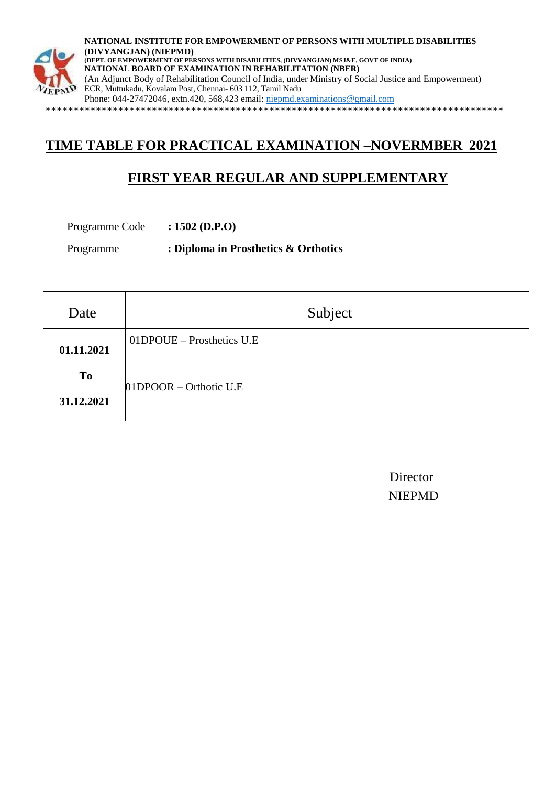

**NATIONAL INSTITUTE FOR EMPOWERMENT OF PERSONS WITH MULTIPLE DISABILITIES (DIVYANGJAN) (NIEPMD) (DEPT. OF EMPOWERMENT OF PERSONS WITH DISABILITIES, (DIVYANGJAN) MSJ&E, GOVT OF INDIA) NATIONAL BOARD OF EXAMINATION IN REHABILITATION (NBER)** (An Adjunct Body of Rehabilitation Council of India, under Ministry of Social Justice and Empowerment) ECR, Muttukadu, Kovalam Post, Chennai- 603 112, Tamil Nadu Phone: 044-27472046, extn.420, 568,423 email: [niepmd.examinations@gmail.com](mailto:niepmd.examinations@gmail.com) \*\*\*\*\*\*\*\*\*\*\*\*\*\*\*\*\*\*\*\*\*\*\*\*\*\*\*\*\*\*\*\*\*\*\*\*\*\*\*\*\*\*\*\*\*\*\*\*\*\*\*\*\*\*\*\*\*\*\*\*\*\*\*\*\*\*\*\*\*\*\*\*\*\*\*\*\*\*\*\*\*\*

# **TIME TABLE FOR PRACTICAL EXAMINATION –NOVERMBER 2021**

# **FIRST YEAR REGULAR AND SUPPLEMENTARY**

Programme Code **: 1502 (D.P.O)** 

Programme **: Diploma in Prosthetics & Orthotics** 

| Date             | Subject                   |
|------------------|---------------------------|
| 01.11.2021       | 01DPOUE – Prosthetics U.E |
| To<br>31.12.2021 | 01DPOOR – Orthotic U.E    |